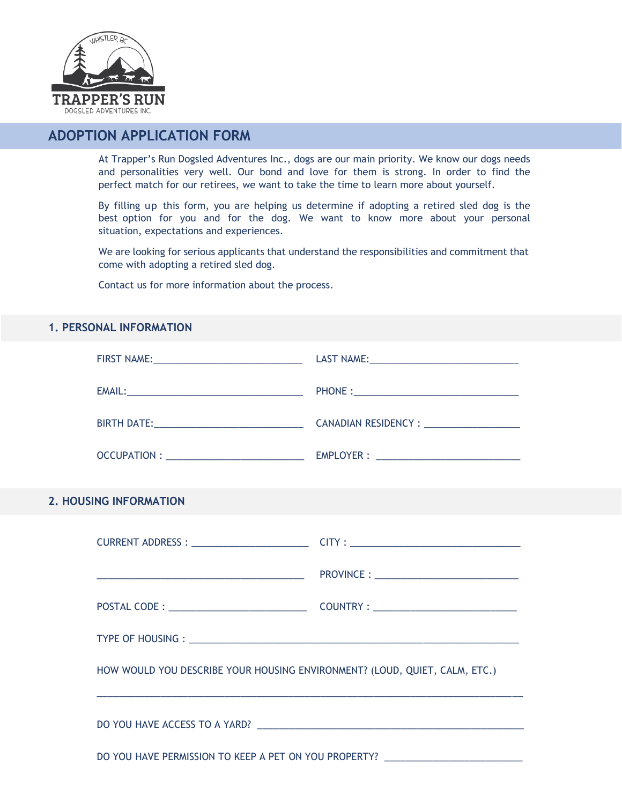

# **ADOPTION APPLICATION FORM**

At Trapper's Run Dogsled Adventures Inc., dogs are our main priority. We know our dogs needs and personalities very well. Our bond and love for them is strong. In order to find the perfect match for our retirees, we want to take the time to learn more about yourself.

By filling up this form, you are helping us determine if adopting a retired sled dog is the best option for you and for the dog. We want to know more about your personal situation, expectations and experiences.

We are looking for serious applicants that understand the responsibilities and commitment that come with adopting a retired sled dog.

Contact us for more information about the process.

# **1. PERSONAL INFORMATION**

|  | <b>2. HOUSING INFORMATION</b>                                                                                                                                                                                                                                                          |  |  |
|--|----------------------------------------------------------------------------------------------------------------------------------------------------------------------------------------------------------------------------------------------------------------------------------------|--|--|
|  |                                                                                                                                                                                                                                                                                        |  |  |
|  |                                                                                                                                                                                                                                                                                        |  |  |
|  |                                                                                                                                                                                                                                                                                        |  |  |
|  |                                                                                                                                                                                                                                                                                        |  |  |
|  | HOW WOULD YOU DESCRIBE YOUR HOUSING ENVIRONMENT? (LOUD, QUIET, CALM, ETC.)<br><u> 1980 - Jan James Santan, marka masjid a shekara ta 1980 a shekara ta 1980 a shekara ta 1980 a shekara ta 198</u><br>DO YOU HAVE PERMISSION TO KEEP A PET ON YOU PROPERTY? __________________________ |  |  |
|  |                                                                                                                                                                                                                                                                                        |  |  |
|  |                                                                                                                                                                                                                                                                                        |  |  |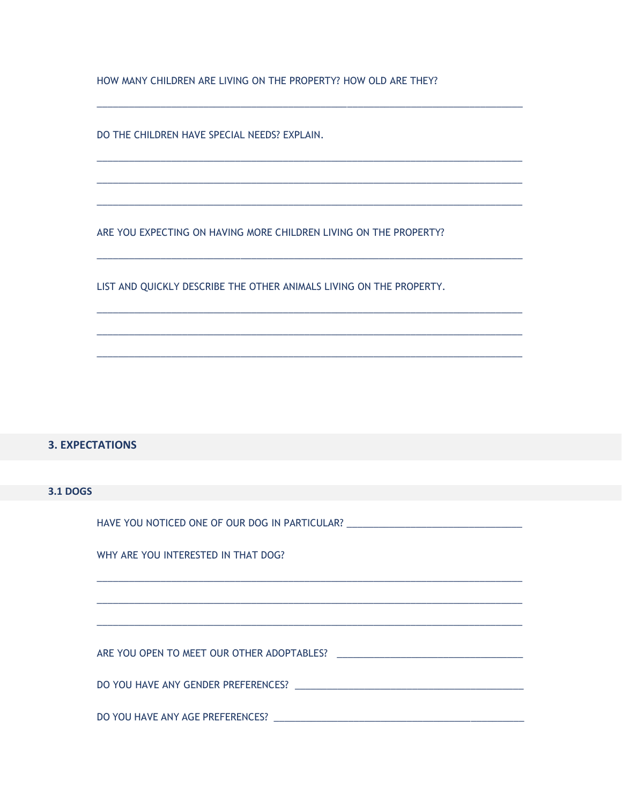HOW MANY CHILDREN ARE LIVING ON THE PROPERTY? HOW OLD ARE THEY?

DO THE CHILDREN HAVE SPECIAL NEEDS? EXPLAIN.

ARE YOU EXPECTING ON HAVING MORE CHILDREN LIVING ON THE PROPERTY?

LIST AND QUICKLY DESCRIBE THE OTHER ANIMALS LIVING ON THE PROPERTY.

#### **3. EXPECTATIONS**

#### **3.1 DOGS**

| HAVE YOU NOTICED ONE OF OUR DOG IN PARTICULAR? Notice that the contract of the contract of the contract of the                                                                                                                 |  |  |
|--------------------------------------------------------------------------------------------------------------------------------------------------------------------------------------------------------------------------------|--|--|
| WHY ARE YOU INTERESTED IN THAT DOG?                                                                                                                                                                                            |  |  |
|                                                                                                                                                                                                                                |  |  |
|                                                                                                                                                                                                                                |  |  |
| ARE YOU OPEN TO MEET OUR OTHER ADOPTABLES? And the contract of the contract of the contract of the contract of the contract of the contract of the contract of the contract of the contract of the contract of the contract of |  |  |
|                                                                                                                                                                                                                                |  |  |
|                                                                                                                                                                                                                                |  |  |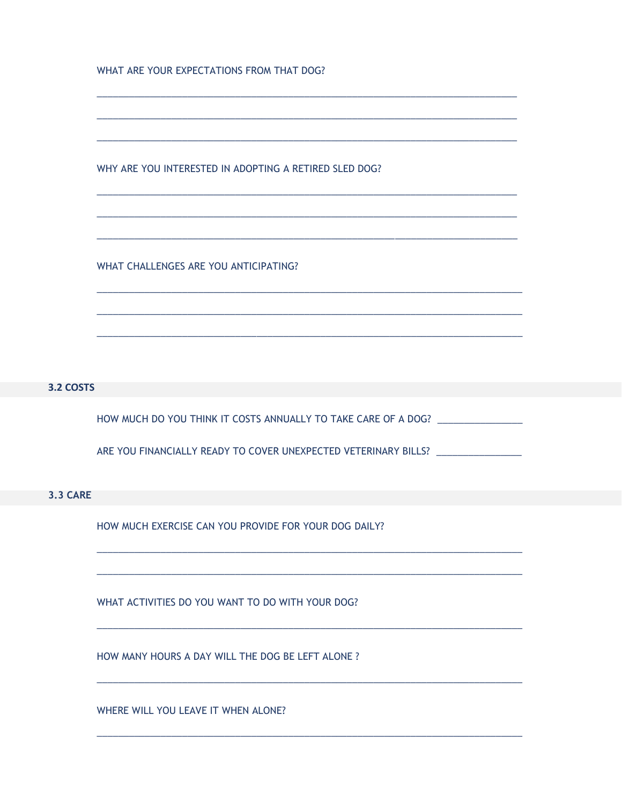WHAT ARE YOUR EXPECTATIONS FROM THAT DOG?

WHY ARE YOU INTERESTED IN ADOPTING A RETIRED SLED DOG?

WHAT CHALLENGES ARE YOU ANTICIPATING?

## 3.2 COSTS

HOW MUCH DO YOU THINK IT COSTS ANNUALLY TO TAKE CARE OF A DOG? \_\_\_\_\_\_\_\_\_\_\_\_\_\_\_\_\_

ARE YOU FINANCIALLY READY TO COVER UNEXPECTED VETERINARY BILLS? \_\_\_\_\_\_\_\_\_\_\_\_\_\_\_\_

#### **3.3 CARE**

HOW MUCH EXERCISE CAN YOU PROVIDE FOR YOUR DOG DAILY?

WHAT ACTIVITIES DO YOU WANT TO DO WITH YOUR DOG?

HOW MANY HOURS A DAY WILL THE DOG BE LEFT ALONE ?

WHERE WILL YOU LEAVE IT WHEN ALONE?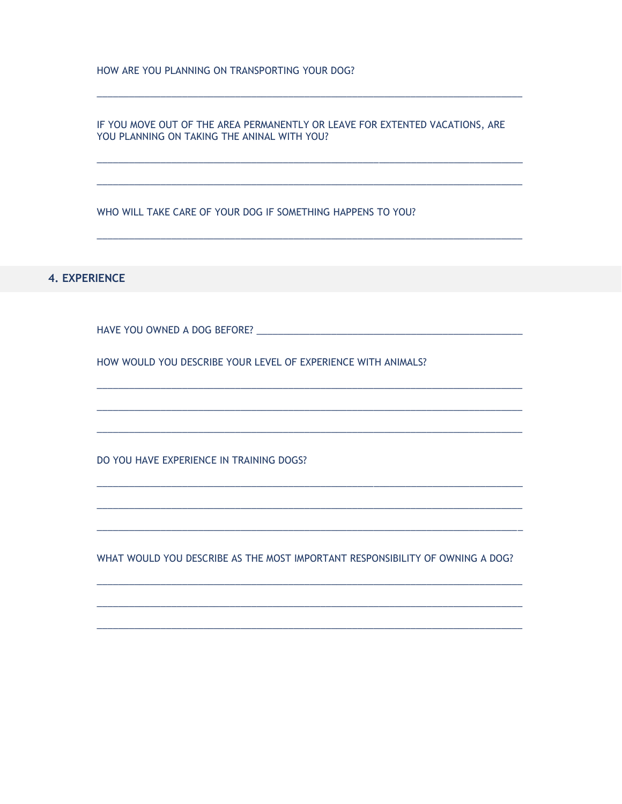HOW ARE YOU PLANNING ON TRANSPORTING YOUR DOG?

IF YOU MOVE OUT OF THE AREA PERMANENTLY OR LEAVE FOR EXTENTED VACATIONS, ARE YOU PLANNING ON TAKING THE ANINAL WITH YOU?

WHO WILL TAKE CARE OF YOUR DOG IF SOMETHING HAPPENS TO YOU?

**4. EXPERIENCE** 

HOW WOULD YOU DESCRIBE YOUR LEVEL OF EXPERIENCE WITH ANIMALS?

DO YOU HAVE EXPERIENCE IN TRAINING DOGS?

WHAT WOULD YOU DESCRIBE AS THE MOST IMPORTANT RESPONSIBILITY OF OWNING A DOG?